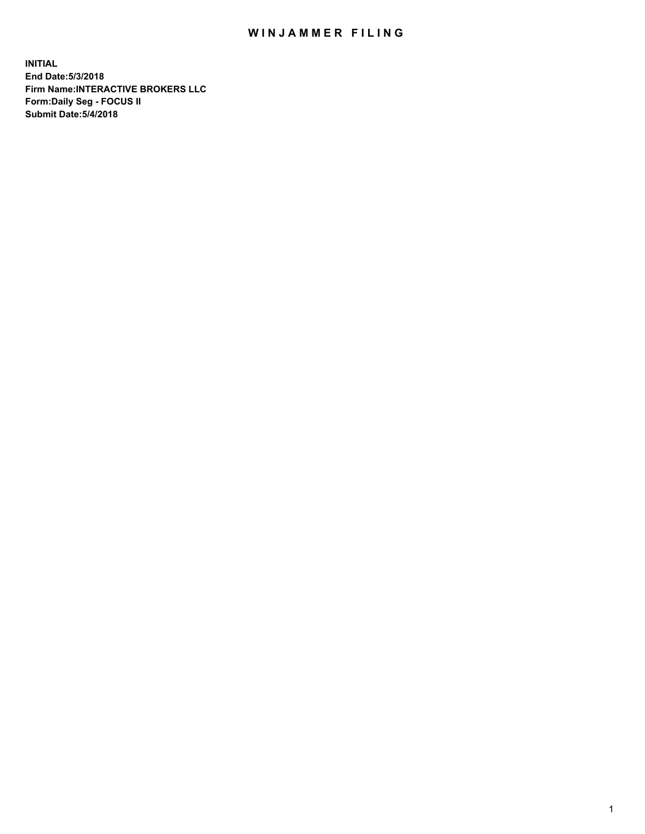## WIN JAMMER FILING

**INITIAL End Date:5/3/2018 Firm Name:INTERACTIVE BROKERS LLC Form:Daily Seg - FOCUS II Submit Date:5/4/2018**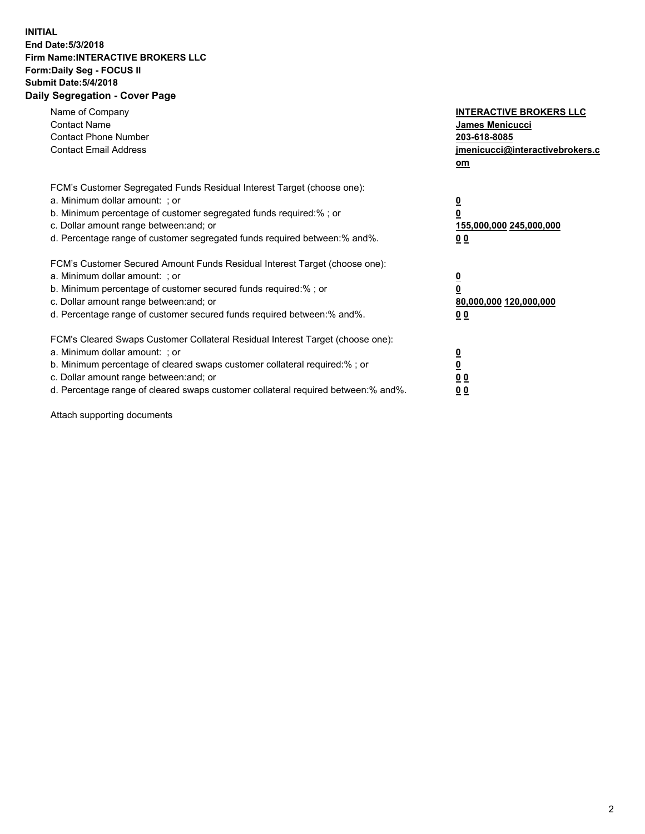## **INITIAL End Date:5/3/2018 Firm Name:INTERACTIVE BROKERS LLC Form:Daily Seg - FOCUS II Submit Date:5/4/2018 Daily Segregation - Cover Page**

| Name of Company<br><b>Contact Name</b><br><b>Contact Phone Number</b><br><b>Contact Email Address</b>                                                                                                                                                                                                                          | <b>INTERACTIVE BROKERS LLC</b><br>James Menicucci<br>203-618-8085<br>jmenicucci@interactivebrokers.c<br>om |
|--------------------------------------------------------------------------------------------------------------------------------------------------------------------------------------------------------------------------------------------------------------------------------------------------------------------------------|------------------------------------------------------------------------------------------------------------|
| FCM's Customer Segregated Funds Residual Interest Target (choose one):<br>a. Minimum dollar amount: ; or<br>b. Minimum percentage of customer segregated funds required:%; or<br>c. Dollar amount range between: and; or<br>d. Percentage range of customer segregated funds required between:% and%.                          | $\overline{\mathbf{0}}$<br>$\overline{\mathbf{0}}$<br>155,000,000 245,000,000<br>00                        |
| FCM's Customer Secured Amount Funds Residual Interest Target (choose one):<br>a. Minimum dollar amount: ; or<br>b. Minimum percentage of customer secured funds required:%; or<br>c. Dollar amount range between: and; or<br>d. Percentage range of customer secured funds required between: % and %.                          | $\overline{\mathbf{0}}$<br>0<br>80,000,000 120,000,000<br>00                                               |
| FCM's Cleared Swaps Customer Collateral Residual Interest Target (choose one):<br>a. Minimum dollar amount: ; or<br>b. Minimum percentage of cleared swaps customer collateral required:% ; or<br>c. Dollar amount range between: and; or<br>d. Percentage range of cleared swaps customer collateral required between:% and%. | $\overline{\mathbf{0}}$<br>$\underline{\mathbf{0}}$<br>0 <sub>0</sub><br>0 <sub>0</sub>                    |

Attach supporting documents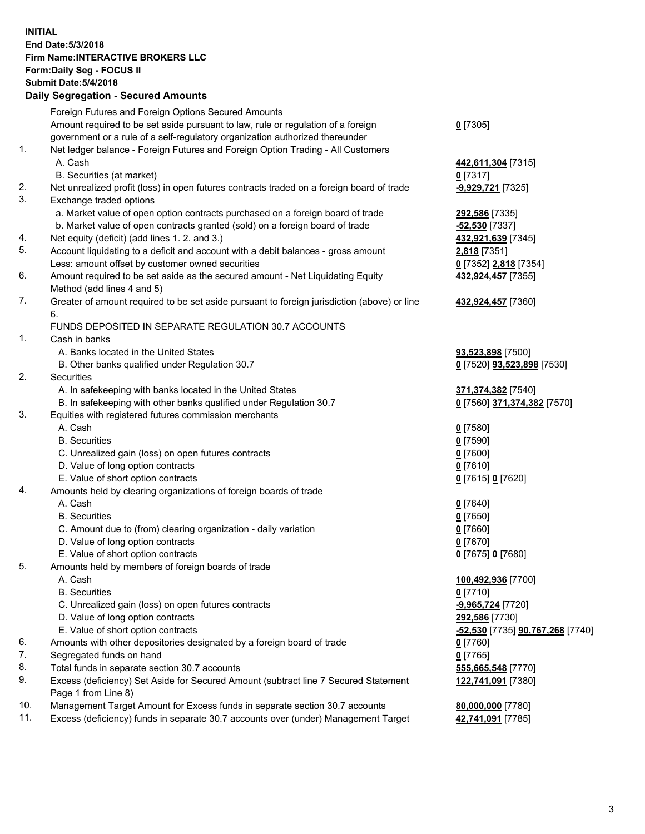## **INITIAL End Date:5/3/2018 Firm Name:INTERACTIVE BROKERS LLC Form:Daily Seg - FOCUS II Submit Date:5/4/2018 Daily Segregation - Secured Amounts**

|     | Foreign Futures and Foreign Options Secured Amounts                                         |                                  |
|-----|---------------------------------------------------------------------------------------------|----------------------------------|
|     | Amount required to be set aside pursuant to law, rule or regulation of a foreign            | $0$ [7305]                       |
|     | government or a rule of a self-regulatory organization authorized thereunder                |                                  |
| 1.  | Net ledger balance - Foreign Futures and Foreign Option Trading - All Customers             |                                  |
|     | A. Cash                                                                                     | 442,611,304 [7315]               |
|     | B. Securities (at market)                                                                   | $0$ [7317]                       |
| 2.  | Net unrealized profit (loss) in open futures contracts traded on a foreign board of trade   | -9,929,721 [7325]                |
| 3.  | Exchange traded options                                                                     |                                  |
|     | a. Market value of open option contracts purchased on a foreign board of trade              | 292,586 [7335]                   |
|     | b. Market value of open contracts granted (sold) on a foreign board of trade                | -52,530 [7337]                   |
| 4.  | Net equity (deficit) (add lines 1.2. and 3.)                                                | 432,921,639 [7345]               |
| 5.  | Account liquidating to a deficit and account with a debit balances - gross amount           | 2,818 [7351]                     |
|     | Less: amount offset by customer owned securities                                            | 0 [7352] 2,818 [7354]            |
| 6.  | Amount required to be set aside as the secured amount - Net Liquidating Equity              | 432,924,457 [7355]               |
|     | Method (add lines 4 and 5)                                                                  |                                  |
| 7.  | Greater of amount required to be set aside pursuant to foreign jurisdiction (above) or line | 432,924,457 [7360]               |
|     | 6.                                                                                          |                                  |
|     | FUNDS DEPOSITED IN SEPARATE REGULATION 30.7 ACCOUNTS                                        |                                  |
| 1.  | Cash in banks                                                                               |                                  |
|     | A. Banks located in the United States                                                       | 93,523,898 [7500]                |
|     | B. Other banks qualified under Regulation 30.7                                              | 0 [7520] 93,523,898 [7530]       |
| 2.  | Securities                                                                                  |                                  |
|     | A. In safekeeping with banks located in the United States                                   | 371,374,382 [7540]               |
|     | B. In safekeeping with other banks qualified under Regulation 30.7                          | 0 [7560] 371,374,382 [7570]      |
| 3.  | Equities with registered futures commission merchants                                       |                                  |
|     | A. Cash                                                                                     | $0$ [7580]                       |
|     | <b>B.</b> Securities                                                                        | $0$ [7590]                       |
|     | C. Unrealized gain (loss) on open futures contracts                                         | $0$ [7600]                       |
|     | D. Value of long option contracts                                                           | $0$ [7610]                       |
|     | E. Value of short option contracts                                                          | 0 [7615] 0 [7620]                |
| 4.  | Amounts held by clearing organizations of foreign boards of trade                           |                                  |
|     | A. Cash                                                                                     | $0$ [7640]                       |
|     | <b>B.</b> Securities                                                                        | $0$ [7650]                       |
|     | C. Amount due to (from) clearing organization - daily variation                             | $0$ [7660]                       |
|     | D. Value of long option contracts                                                           | $0$ [7670]                       |
|     | E. Value of short option contracts                                                          | 0 [7675] 0 [7680]                |
| 5.  | Amounts held by members of foreign boards of trade                                          |                                  |
|     | A. Cash                                                                                     | 100,492,936 [7700]               |
|     | <b>B.</b> Securities                                                                        | $0$ [7710]                       |
|     | C. Unrealized gain (loss) on open futures contracts                                         | -9,965,724 [7720]                |
|     | D. Value of long option contracts                                                           | 292,586 [7730]                   |
|     | E. Value of short option contracts                                                          | -52,530 [7735] 90,767,268 [7740] |
| 6.  | Amounts with other depositories designated by a foreign board of trade                      | $0$ [7760]                       |
| 7.  | Segregated funds on hand                                                                    | $0$ [7765]                       |
| 8.  | Total funds in separate section 30.7 accounts                                               | 555,665,548 [7770]               |
| 9.  | Excess (deficiency) Set Aside for Secured Amount (subtract line 7 Secured Statement         | 122,741,091 [7380]               |
|     | Page 1 from Line 8)                                                                         |                                  |
| 10. | Management Target Amount for Excess funds in separate section 30.7 accounts                 | 80,000,000 [7780]                |
| 11. | Excess (deficiency) funds in separate 30.7 accounts over (under) Management Target          | 42,741,091 [7785]                |
|     |                                                                                             |                                  |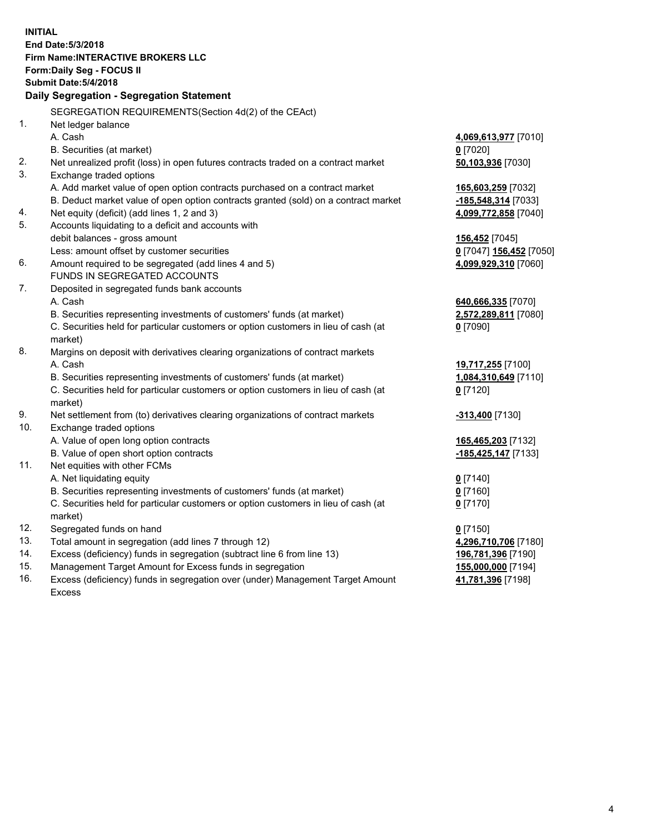**INITIAL End Date:5/3/2018 Firm Name:INTERACTIVE BROKERS LLC Form:Daily Seg - FOCUS II Submit Date:5/4/2018 Daily Segregation - Segregation Statement** SEGREGATION REQUIREMENTS(Section 4d(2) of the CEAct) 1. Net ledger balance A. Cash **4,069,613,977** [7010] B. Securities (at market) **0** [7020] 2. Net unrealized profit (loss) in open futures contracts traded on a contract market **50,103,936** [7030] 3. Exchange traded options A. Add market value of open option contracts purchased on a contract market **165,603,259** [7032] B. Deduct market value of open option contracts granted (sold) on a contract market **-185,548,314** [7033] 4. Net equity (deficit) (add lines 1, 2 and 3) **4,099,772,858** [7040] 5. Accounts liquidating to a deficit and accounts with debit balances - gross amount **156,452** [7045] Less: amount offset by customer securities **0** [7047] **156,452** [7050] 6. Amount required to be segregated (add lines 4 and 5) **4,099,929,310** [7060] FUNDS IN SEGREGATED ACCOUNTS 7. Deposited in segregated funds bank accounts A. Cash **640,666,335** [7070] B. Securities representing investments of customers' funds (at market) **2,572,289,811** [7080] C. Securities held for particular customers or option customers in lieu of cash (at market) **0** [7090] 8. Margins on deposit with derivatives clearing organizations of contract markets A. Cash **19,717,255** [7100] B. Securities representing investments of customers' funds (at market) **1,084,310,649** [7110] C. Securities held for particular customers or option customers in lieu of cash (at market) **0** [7120] 9. Net settlement from (to) derivatives clearing organizations of contract markets **-313,400** [7130] 10. Exchange traded options A. Value of open long option contracts **165,465,203** [7132] B. Value of open short option contracts **-185,425,147** [7133] 11. Net equities with other FCMs A. Net liquidating equity **0** [7140] B. Securities representing investments of customers' funds (at market) **0** [7160] C. Securities held for particular customers or option customers in lieu of cash (at market) **0** [7170] 12. Segregated funds on hand **0** [7150] 13. Total amount in segregation (add lines 7 through 12) **4,296,710,706** [7180] 14. Excess (deficiency) funds in segregation (subtract line 6 from line 13) **196,781,396** [7190] 15. Management Target Amount for Excess funds in segregation **155,000,000** [7194] 16. Excess (deficiency) funds in segregation over (under) Management Target Amount **41,781,396** [7198]

Excess